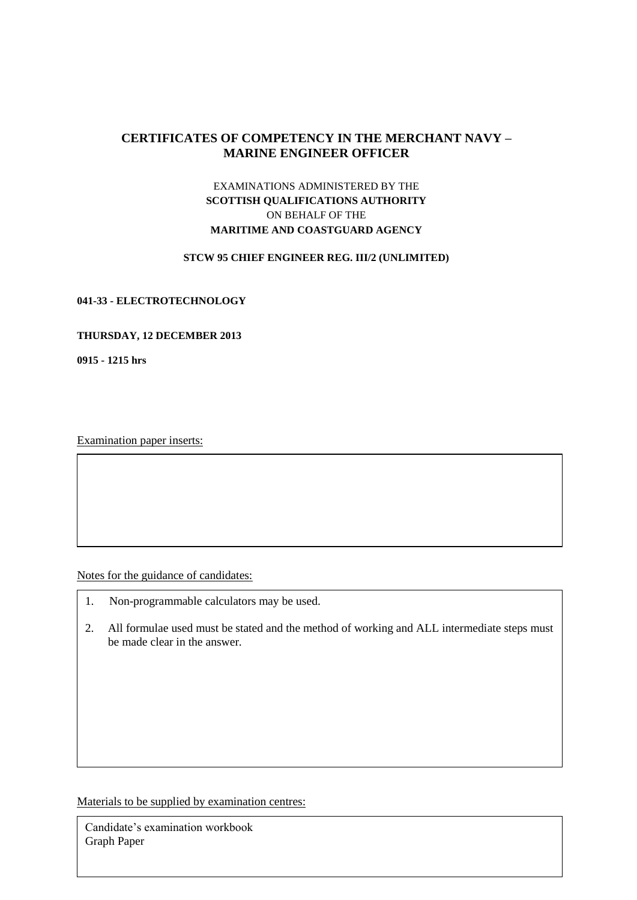# **CERTIFICATES OF COMPETENCY IN THE MERCHANT NAVY – MARINE ENGINEER OFFICER**

# EXAMINATIONS ADMINISTERED BY THE **SCOTTISH QUALIFICATIONS AUTHORITY** ON BEHALF OF THE **MARITIME AND COASTGUARD AGENCY**

#### **STCW 95 CHIEF ENGINEER REG. III/2 (UNLIMITED)**

#### **041-33 - ELECTROTECHNOLOGY**

#### **THURSDAY, 12 DECEMBER 2013**

**0915 - 1215 hrs**

Examination paper inserts:

Notes for the guidance of candidates:

- 1. Non-programmable calculators may be used.
- 2. All formulae used must be stated and the method of working and ALL intermediate steps must be made clear in the answer.

Materials to be supplied by examination centres:

Candidate's examination workbook Graph Paper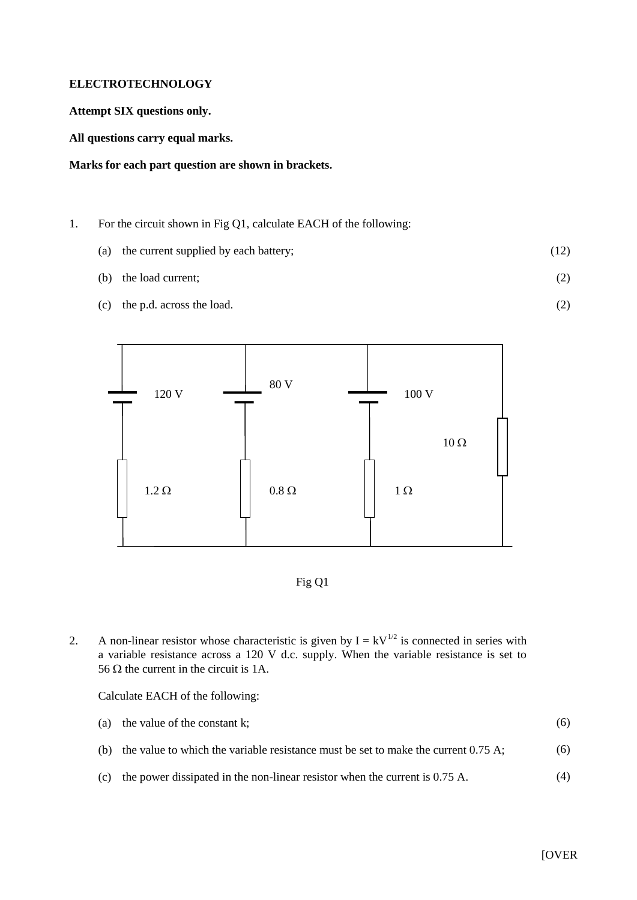## **ELECTROTECHNOLOGY**

## **Attempt SIX questions only.**

**All questions carry equal marks.**

## **Marks for each part question are shown in brackets.**

- 1. For the circuit shown in Fig Q1, calculate EACH of the following:
	- (a) the current supplied by each battery; (12)
		- (b) the load current; (2)
	- (c) the p.d. across the load.





2. A non-linear resistor whose characteristic is given by  $I = kV^{1/2}$  is connected in series with a variable resistance across a 120 V d.c. supply. When the variable resistance is set to 56  $\Omega$  the current in the circuit is 1A.

Calculate EACH of the following:

|  | (a) the value of the constant k; |  |  |
|--|----------------------------------|--|--|
|--|----------------------------------|--|--|

- (b) the value to which the variable resistance must be set to make the current 0.75 A; (6)
- (c) the power dissipated in the non-linear resistor when the current is 0.75 A. (4)

(2)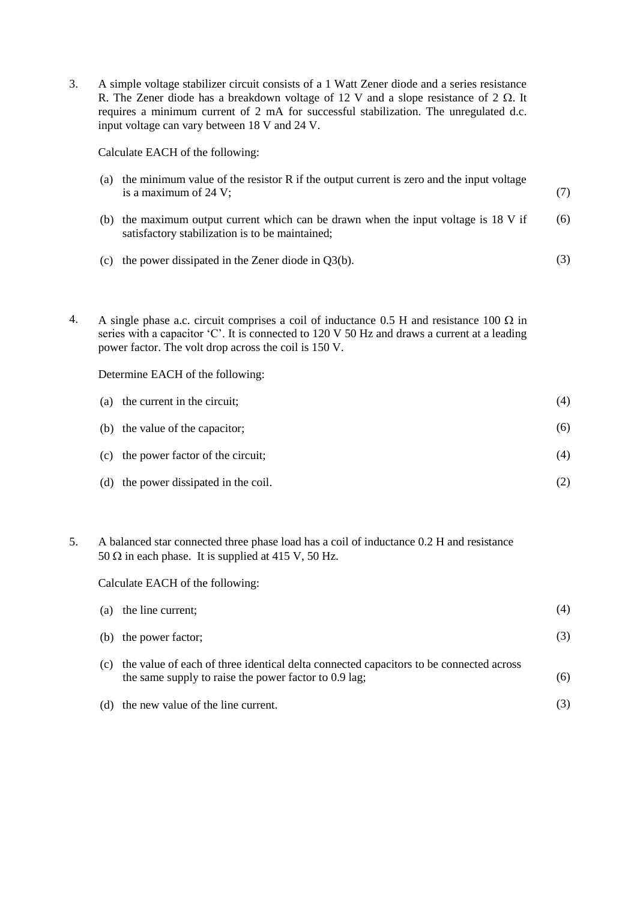3. A simple voltage stabilizer circuit consists of a 1 Watt Zener diode and a series resistance R. The Zener diode has a breakdown voltage of 12 V and a slope resistance of 2  $\Omega$ . It requires a minimum current of 2 mA for successful stabilization. The unregulated d.c. input voltage can vary between 18 V and 24 V.

Calculate EACH of the following:

| (a) | the minimum value of the resistor R if the output current is zero and the input voltage<br>is a maximum of $24$ V;                 | (7) |
|-----|------------------------------------------------------------------------------------------------------------------------------------|-----|
| (b) | the maximum output current which can be drawn when the input voltage is 18 V if<br>satisfactory stabilization is to be maintained; | (6) |
|     | (c) the power dissipated in the Zener diode in $Q_3(b)$ .                                                                          | (3) |

4. A single phase a.c. circuit comprises a coil of inductance 0.5 H and resistance 100  $\Omega$  in series with a capacitor 'C'. It is connected to 120 V 50 Hz and draws a current at a leading power factor. The volt drop across the coil is 150 V.

Determine EACH of the following:

| (a) the current in the circuit;       | (4) |
|---------------------------------------|-----|
| (b) the value of the capacitor;       | (6) |
| (c) the power factor of the circuit;  | (4) |
| (d) the power dissipated in the coil. |     |

5. A balanced star connected three phase load has a coil of inductance 0.2 H and resistance 50  $\Omega$  in each phase. It is supplied at 415 V, 50 Hz.

Calculate EACH of the following:

|     | (a) the line current;                                                                                                                           | (4) |
|-----|-------------------------------------------------------------------------------------------------------------------------------------------------|-----|
|     | (b) the power factor;                                                                                                                           | (3) |
| (c) | the value of each of three identical delta connected capacitors to be connected across<br>the same supply to raise the power factor to 0.9 lag; | (6) |
| (d) | the new value of the line current.                                                                                                              |     |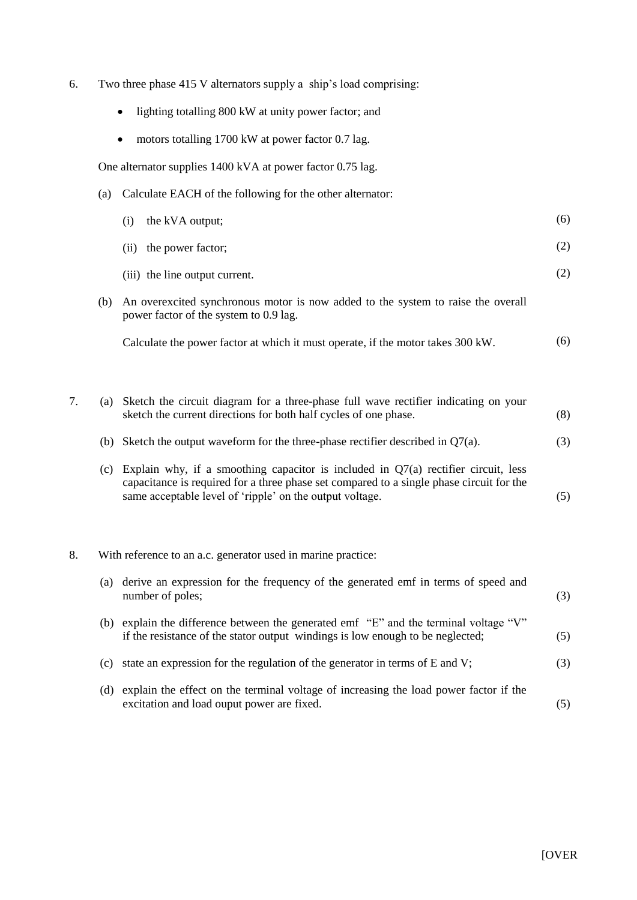- 6. Two three phase 415 V alternators supply a ship's load comprising:
	- lighting totalling 800 kW at unity power factor; and
	- motors totalling 1700 kW at power factor 0.7 lag.

One alternator supplies 1400 kVA at power factor 0.75 lag.

(a) Calculate EACH of the following for the other alternator:

|     | the kVA output;<br>(i)                                                                                                                                                                                                                       | (6) |
|-----|----------------------------------------------------------------------------------------------------------------------------------------------------------------------------------------------------------------------------------------------|-----|
|     | the power factor;<br>(ii)                                                                                                                                                                                                                    | (2) |
|     | (iii) the line output current.                                                                                                                                                                                                               | (2) |
| (b) | An overexcited synchronous motor is now added to the system to raise the overall<br>power factor of the system to 0.9 lag.                                                                                                                   |     |
|     | Calculate the power factor at which it must operate, if the motor takes 300 kW.                                                                                                                                                              | (6) |
|     |                                                                                                                                                                                                                                              |     |
| (a) | Sketch the circuit diagram for a three-phase full wave rectifier indicating on your<br>sketch the current directions for both half cycles of one phase.                                                                                      | (8) |
| (b) | Sketch the output waveform for the three-phase rectifier described in $Q7(a)$ .                                                                                                                                                              | (3) |
| (c) | Explain why, if a smoothing capacitor is included in $Q7(a)$ rectifier circuit, less<br>capacitance is required for a three phase set compared to a single phase circuit for the<br>same acceptable level of 'ripple' on the output voltage. | (5) |
|     |                                                                                                                                                                                                                                              |     |

### 8. With reference to an a.c. generator used in marine practice:

| (a) | derive an expression for the frequency of the generated emf in terms of speed and<br>number of poles;                                                               | (3) |
|-----|---------------------------------------------------------------------------------------------------------------------------------------------------------------------|-----|
| (b) | explain the difference between the generated emf "E" and the terminal voltage "V"<br>if the resistance of the stator output windings is low enough to be neglected; | (5) |
| (c) | state an expression for the regulation of the generator in terms of E and V;                                                                                        | (3) |
| (d) | explain the effect on the terminal voltage of increasing the load power factor if the<br>excitation and load ouput power are fixed.                                 |     |